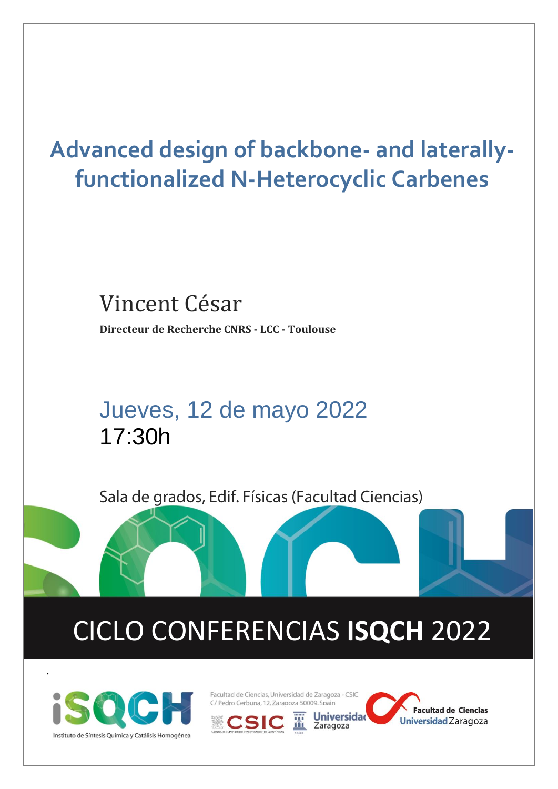# **Advanced design of backbone- and laterallyfunctionalized N-Heterocyclic Carbenes**

## Vincent César **Directeur de Recherche CNRS - LCC - Toulouse**

## Jueves, 12 de mayo 2022 17:30h

Sala de grados, Edif. Físicas (Facultad Ciencias)

# CICLO CONFERENCIAS **ISQCH** 2022



.

Facultad de Ciencias, Universidad de Zaragoza - CSIC C/ Pedro Cerbuna, 12. Zaragoza 50009. Spain

**Universidad** 

Zaragoza